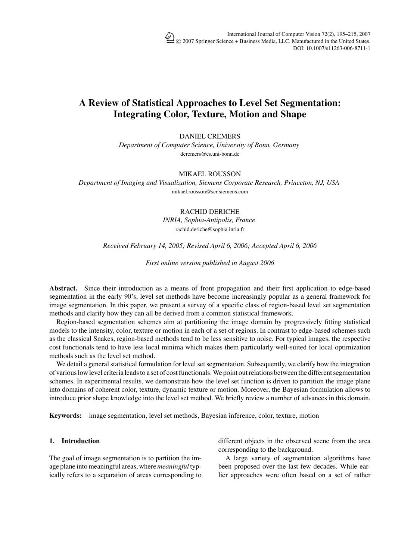# **A Review of Statistical Approaches to Level Set Segmentation: Integrating Color, Texture, Motion and Shape**

DANIEL CREMERS

*Department of Computer Science, University of Bonn, Germany* dcremers@cs.uni-bonn.de

## MIKAEL ROUSSON

*Department of Imaging and Visualization, Siemens Corporate Research, Princeton, NJ, USA* mikael.rousson@scr.siemens.com

# RACHID DERICHE

*INRIA, Sophia-Antipolis, France* rachid.deriche@sophia.inria.fr

## *Received February 14, 2005; Revised April 6, 2006; Accepted April 6, 2006*

*First online version published in August 2006*

**Abstract.** Since their introduction as a means of front propagation and their first application to edge-based segmentation in the early 90's, level set methods have become increasingly popular as a general framework for image segmentation. In this paper, we present a survey of a specific class of region-based level set segmentation methods and clarify how they can all be derived from a common statistical framework.

Region-based segmentation schemes aim at partitioning the image domain by progressively fitting statistical models to the intensity, color, texture or motion in each of a set of regions. In contrast to edge-based schemes such as the classical Snakes, region-based methods tend to be less sensitive to noise. For typical images, the respective cost functionals tend to have less local minima which makes them particularly well-suited for local optimization methods such as the level set method.

We detail a general statistical formulation for level set segmentation. Subsequently, we clarify how the integration of various low level criteria leads to a set of cost functionals. We point out relations between the different segmentation schemes. In experimental results, we demonstrate how the level set function is driven to partition the image plane into domains of coherent color, texture, dynamic texture or motion. Moreover, the Bayesian formulation allows to introduce prior shape knowledge into the level set method. We briefly review a number of advances in this domain.

**Keywords:** image segmentation, level set methods, Bayesian inference, color, texture, motion

## **1. Introduction**

The goal of image segmentation is to partition the image plane into meaningful areas, where *meaningful* typically refers to a separation of areas corresponding to different objects in the observed scene from the area corresponding to the background.

A large variety of segmentation algorithms have been proposed over the last few decades. While earlier approaches were often based on a set of rather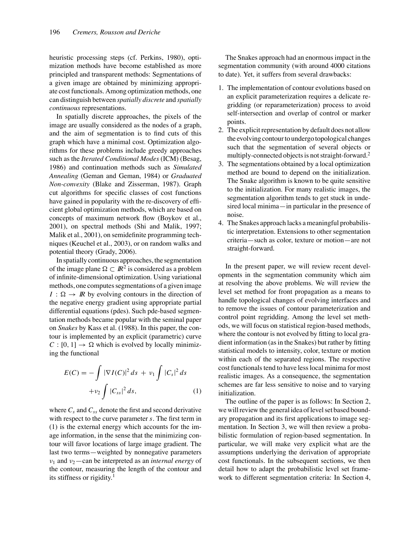heuristic processing steps (cf. Perkins, 1980), optimization methods have become established as more principled and transparent methods: Segmentations of a given image are obtained by minimizing appropriate cost functionals. Among optimization methods, one can distinguish between *spatially discrete* and *spatially continuous* representations.

In spatially discrete approaches, the pixels of the image are usually considered as the nodes of a graph, and the aim of segmentation is to find cuts of this graph which have a minimal cost. Optimization algorithms for these problems include greedy approaches such as the *Iterated Conditional Modes* (ICM) (Besag, 1986) and continuation methods such as *Simulated Annealing* (Geman and Geman, 1984) or *Graduated Non-convexity* (Blake and Zisserman, 1987). Graph cut algorithms for specific classes of cost functions have gained in popularity with the re-discovery of efficient global optimization methods, which are based on concepts of maximum network flow (Boykov et al., 2001), on spectral methods (Shi and Malik, 1997; Malik et al., 2001), on semidefinite programming techniques (Keuchel et al., 2003), or on random walks and potential theory (Grady, 2006).

In spatially continuous approaches, the segmentation of the image plane  $\Omega \subset \mathbb{R}^2$  is considered as a problem of infinite-dimensional optimization. Using variational methods, one computes segmentations of a given image  $I: \Omega \to \mathbb{R}$  by evolving contours in the direction of the negative energy gradient using appropriate partial differential equations (pdes). Such pde-based segmentation methods became popular with the seminal paper on *Snakes* by Kass et al. (1988). In this paper, the contour is implemented by an explicit (parametric) curve  $C : [0, 1] \rightarrow \Omega$  which is evolved by locally minimizing the functional

$$
E(C) = -\int |\nabla I(C)|^2 ds + v_1 \int |C_s|^2 ds
$$
  
+ $v_2 \int |C_{ss}|^2 ds,$  (1)

where  $C_s$  and  $C_{ss}$  denote the first and second derivative with respect to the curve parameter *s*. The first term in (1) is the external energy which accounts for the image information, in the sense that the minimizing contour will favor locations of large image gradient. The last two terms—weighted by nonnegative parameters  $v_1$  and  $v_2$ —can be interpreted as an *internal energy* of the contour, measuring the length of the contour and its stiffness or rigidity.<sup>1</sup>

The Snakes approach had an enormous impact in the segmentation community (with around 4000 citations to date). Yet, it suffers from several drawbacks:

- 1. The implementation of contour evolutions based on an explicit parameterization requires a delicate regridding (or reparameterization) process to avoid self-intersection and overlap of control or marker points.
- 2. The explicit representation by default does not allow the evolving contour to undergo topological changes such that the segmentation of several objects or multiply-connected objects is not straight-forward.<sup>2</sup>
- 3. The segmentations obtained by a local optimization method are bound to depend on the initialization. The Snake algorithm is known to be quite sensitive to the initialization. For many realistic images, the segmentation algorithm tends to get stuck in undesired local minima—in particular in the presence of noise.
- 4. The Snakes approach lacks a meaningful probabilistic interpretation. Extensions to other segmentation criteria—such as color, texture or motion—are not straight-forward.

In the present paper, we will review recent developments in the segmentation community which aim at resolving the above problems. We will review the level set method for front propagation as a means to handle topological changes of evolving interfaces and to remove the issues of contour parameterization and control point regridding. Among the level set methods, we will focus on statistical region-based methods, where the contour is not evolved by fitting to local gradient information (as in the Snakes) but rather by fitting statistical models to intensity, color, texture or motion within each of the separated regions. The respective cost functionals tend to have less local minima for most realistic images. As a consequence, the segmentation schemes are far less sensitive to noise and to varying initialization.

The outline of the paper is as follows: In Section 2, we will review the general idea of level set based boundary propagation and its first applications to image segmentation. In Section 3, we will then review a probabilistic formulation of region-based segmentation. In particular, we will make very explicit what are the assumptions underlying the derivation of appropriate cost functionals. In the subsequent sections, we then detail how to adapt the probabilistic level set framework to different segmentation criteria: In Section 4,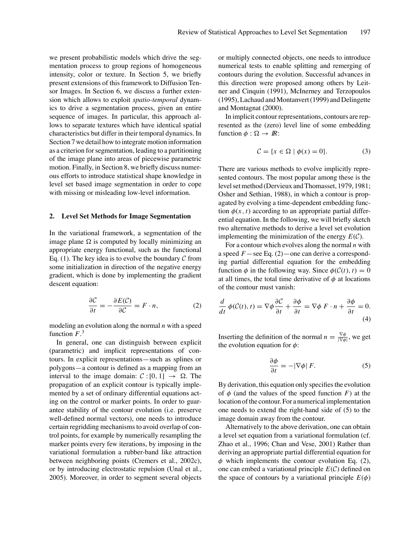we present probabilistic models which drive the segmentation process to group regions of homogeneous intensity, color or texture. In Section 5, we briefly present extensions of this framework to Diffusion Tensor Images. In Section 6, we discuss a further extension which allows to exploit *spatio-temporal* dynamics to drive a segmentation process, given an entire sequence of images. In particular, this approach allows to separate textures which have identical spatial characteristics but differ in their temporal dynamics. In Section 7 we detail how to integrate motion information as a criterion for segmentation, leading to a partitioning of the image plane into areas of piecewise parametric motion. Finally, in Section 8, we briefly discuss numerous efforts to introduce statistical shape knowledge in level set based image segmentation in order to cope with missing or misleading low-level information.

## **2. Level Set Methods for Image Segmentation**

In the variational framework, a segmentation of the image plane  $\Omega$  is computed by locally minimizing an appropriate energy functional, such as the functional Eq. (1). The key idea is to evolve the boundary  $\mathcal C$  from some initialization in direction of the negative energy gradient, which is done by implementing the gradient descent equation:

$$
\frac{\partial C}{\partial t} = -\frac{\partial E(C)}{\partial C} = F \cdot n,\tag{2}
$$

modeling an evolution along the normal *n* with a speed function  $F^3$ .

In general, one can distinguish between explicit (parametric) and implicit representations of contours. In explicit representations—such as splines or polygons—a contour is defined as a mapping from an interval to the image domain:  $C : [0, 1] \rightarrow \Omega$ . The propagation of an explicit contour is typically implemented by a set of ordinary differential equations acting on the control or marker points. In order to guarantee stability of the contour evolution (i.e. preserve well-defined normal vectors), one needs to introduce certain regridding mechanisms to avoid overlap of control points, for example by numerically resampling the marker points every few iterations, by imposing in the variational formulation a rubber-band like attraction between neighboring points (Cremers et al., 2002c), or by introducing electrostatic repulsion (Unal et al., 2005). Moreover, in order to segment several objects or multiply connected objects, one needs to introduce numerical tests to enable splitting and remerging of contours during the evolution. Successful advances in this direction were proposed among others by Leitner and Cinquin (1991), McInerney and Terzopoulos (1995), Lachaud and Montanvert (1999) and Delingette and Montagnat (2000).

In implicit contour representations, contours are represented as the (zero) level line of some embedding function  $\phi : \Omega \to \mathbb{R}$ :

$$
\mathcal{C} = \{x \in \Omega \mid \phi(x) = 0\}.
$$
 (3)

There are various methods to evolve implicitly represented contours. The most popular among these is the level set method (Dervieux and Thomasset, 1979, 1981; Osher and Sethian, 1988), in which a contour is propagated by evolving a time-dependent embedding function  $\phi(x, t)$  according to an appropriate partial differential equation. In the following, we will briefly sketch two alternative methods to derive a level set evolution implementing the minimization of the energy  $E(\mathcal{C})$ .

For a contour which evolves along the normal *n* with a speed *F*—see Eq. (2)—one can derive a corresponding partial differential equation for the embedding function  $\phi$  in the following way. Since  $\phi(\mathcal{C}(t), t) = 0$ at all times, the total time derivative of  $\phi$  at locations of the contour must vanish:

$$
\frac{d}{dt}\ \phi(\mathcal{C}(t),\,t) = \nabla\phi\,\frac{\partial\mathcal{C}}{\partial t} + \frac{\partial\phi}{\partial t} = \nabla\phi\ F\cdot\mathbf{n} + \frac{\partial\phi}{\partial t} = 0.
$$
\n(4)

Inserting the definition of the normal  $n = \frac{\nabla \phi}{|\nabla \phi|}$ , we get the evolution equation for  $\phi$ :

$$
\frac{\partial \phi}{\partial t} = -|\nabla \phi| F. \tag{5}
$$

By derivation, this equation only specifies the evolution of  $\phi$  (and the values of the speed function *F*) at the location of the contour. For a numerical implementation one needs to extend the right-hand side of (5) to the image domain away from the contour.

Alternatively to the above derivation, one can obtain a level set equation from a variational formulation (cf. Zhao et al., 1996; Chan and Vese, 2001) Rather than deriving an appropriate partial differential equation for  $\phi$  which implements the contour evolution Eq. (2), one can embed a variational principle *E*(C) defined on the space of contours by a variational principle  $E(\phi)$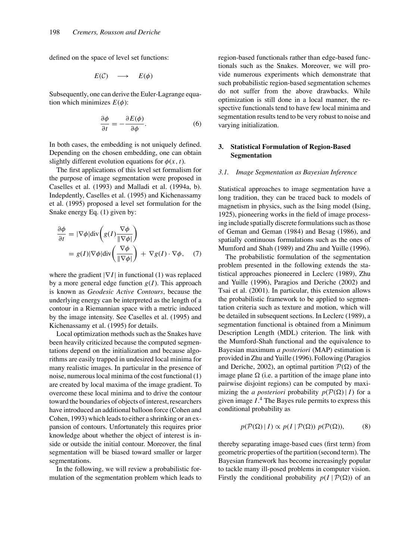defined on the space of level set functions:

$$
E(\mathcal{C}) \quad \longrightarrow \quad E(\phi)
$$

Subsequently, one can derive the Euler-Lagrange equation which minimizes  $E(\phi)$ :

$$
\frac{\partial \phi}{\partial t} = -\frac{\partial E(\phi)}{\partial \phi}.
$$
 (6)

In both cases, the embedding is not uniquely defined. Depending on the chosen embedding, one can obtain slightly different evolution equations for  $\phi(x, t)$ .

The first applications of this level set formalism for the purpose of image segmentation were proposed in Caselles et al. (1993) and Malladi et al. (1994a, b). Indepdently, Caselles et al. (1995) and Kichenassamy et al. (1995) proposed a level set formulation for the Snake energy Eq. (1) given by:

$$
\frac{\partial \phi}{\partial t} = |\nabla \phi| \text{div} \left( g(I) \frac{\nabla \phi}{\|\nabla \phi\|} \right)
$$
  
=  $g(I) |\nabla \phi| \text{div} \left( \frac{\nabla \phi}{\|\nabla \phi\|} \right) + \nabla g(I) \cdot \nabla \phi,$  (7)

where the gradient |∇I| in functional (1) was replaced by a more general edge function  $g(I)$ . This approach is known as *Geodesic Active Contours*, because the underlying energy can be interpreted as the length of a contour in a Riemannian space with a metric induced by the image intensity. See Caselles et al. (1995) and Kichenassamy et al. (1995) for details.

Local optimization methods such as the Snakes have been heavily criticized because the computed segmentations depend on the initialization and because algorithms are easily trapped in undesired local minima for many realistic images. In particular in the presence of noise, numerous local minima of the cost functional (1) are created by local maxima of the image gradient. To overcome these local minima and to drive the contour toward the boundaries of objects of interest, researchers have introduced an additional balloon force (Cohen and Cohen, 1993) which leads to either a shrinking or an expansion of contours. Unfortunately this requires prior knowledge about whether the object of interest is inside or outside the initial contour. Moreover, the final segmentation will be biased toward smaller or larger segmentations.

In the following, we will review a probabilistic formulation of the segmentation problem which leads to region-based functionals rather than edge-based functionals such as the Snakes. Moreover, we will provide numerous experiments which demonstrate that such probabilistic region-based segmentation schemes do not suffer from the above drawbacks. While optimization is still done in a local manner, the respective functionals tend to have few local minima and segmentation results tend to be very robust to noise and varying initialization.

# **3. Statistical Formulation of Region-Based Segmentation**

## *3.1. Image Segmentation as Bayesian Inference*

Statistical approaches to image segmentation have a long tradition, they can be traced back to models of magnetism in physics, such as the Ising model (Ising, 1925), pioneering works in the field of image processing include spatially discrete formulations such as those of Geman and Geman (1984) and Besag (1986), and spatially continuous formulations such as the ones of Mumford and Shah (1989) and Zhu and Yuille (1996).

The probabilistic formulation of the segmentation problem presented in the following extends the statistical approaches pioneered in Leclerc (1989), Zhu and Yuille (1996), Paragios and Deriche (2002) and Tsai et al. (2001). In particular, this extension allows the probabilistic framework to be applied to segmentation criteria such as texture and motion, which will be detailed in subsequent sections. In Leclerc (1989), a segmentation functional is obtained from a Minimum Description Length (MDL) criterion. The link with the Mumford-Shah functional and the equivalence to Bayesian maximum *a posteriori* (MAP) estimation is provided in Zhu and Yuille (1996). Following (Paragios and Deriche, 2002), an optimal partition  $P(\Omega)$  of the image plane  $\Omega$  (i.e. a partition of the image plane into pairwise disjoint regions) can be computed by maximizing the *a posteriori* probability  $p(\mathcal{P}(\Omega) | I)$  for a given image *I*. <sup>4</sup> The Bayes rule permits to express this conditional probability as

$$
p(\mathcal{P}(\Omega) | I) \propto p(I | \mathcal{P}(\Omega)) p(\mathcal{P}(\Omega)), \tag{8}
$$

thereby separating image-based cues (first term) from geometric properties of the partition (second term). The Bayesian framework has become increasingly popular to tackle many ill-posed problems in computer vision. Firstly the conditional probability  $p(I | \mathcal{P}(\Omega))$  of an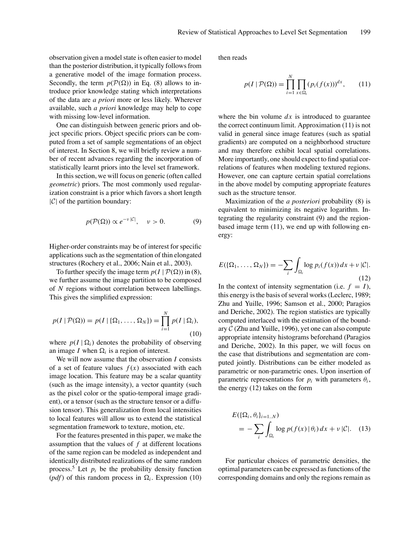observation given a model state is often easier to model than the posterior distribution, it typically follows from a generative model of the image formation process. Secondly, the term  $p(\mathcal{P}(\Omega))$  in Eq. (8) allows to introduce prior knowledge stating which interpretations of the data are *a priori* more or less likely. Wherever available, such *a priori* knowledge may help to cope with missing low-level information.

One can distinguish between generic priors and object specific priors. Object specific priors can be computed from a set of sample segmentations of an object of interest. In Section 8, we will briefly review a number of recent advances regarding the incorporation of statistically learnt priors into the level set framework.

In this section, we will focus on generic (often called *geometric*) priors. The most commonly used regularization constraint is a prior which favors a short length  $|C|$  of the partition boundary:

$$
p(\mathcal{P}(\Omega)) \propto e^{-\nu |\mathcal{C}|}, \quad \nu > 0. \tag{9}
$$

Higher-order constraints may be of interest for specific applications such as the segmentation of thin elongated structures (Rochery et al., 2006; Nain et al., 2003).

To further specify the image term  $p(I | \mathcal{P}(\Omega))$  in (8), we further assume the image partition to be composed of *N* regions without correlation between labellings. This gives the simplified expression:

$$
p(I | \mathcal{P}(\Omega)) = p(I | \{\Omega_1, \dots, \Omega_N\}) = \prod_{i=1}^N p(I | \Omega_i),
$$
\n(10)

where  $p(I | \Omega_i)$  denotes the probability of observing an image *I* when  $\Omega_i$  is a region of interest.

We will now assume that the observation *I* consists of a set of feature values  $f(x)$  associated with each image location. This feature may be a scalar quantity (such as the image intensity), a vector quantity (such as the pixel color or the spatio-temporal image gradient), or a tensor (such as the structure tensor or a diffusion tensor). This generalization from local intensities to local features will allow us to extend the statistical segmentation framework to texture, motion, etc.

For the features presented in this paper, we make the assumption that the values of *f* at different locations of the same region can be modeled as independent and identically distributed realizations of the same random process.<sup>5</sup> Let  $p_i$  be the probability density function (*pdf*) of this random process in  $\Omega_i$ . Expression (10)

then reads

$$
p(I \mid \mathcal{P}(\Omega)) = \prod_{i=1}^{N} \prod_{x \in \Omega_i} (p_i(f(x)))^{dx}, \qquad (11)
$$

where the bin volume  $dx$  is introduced to guarantee the correct continuum limit. Approximation (11) is not valid in general since image features (such as spatial gradients) are computed on a neighborhood structure and may therefore exhibit local spatial correlations. More importantly, one should expect to find spatial correlations of features when modeling textured regions. However, one can capture certain spatial correlations in the above model by computing appropriate features such as the structure tensor.

Maximization of the *a posteriori* probability (8) is equivalent to minimizing its negative logarithm. Integrating the regularity constraint (9) and the regionbased image term (11), we end up with following energy:

$$
E(\{\Omega_1,\ldots,\Omega_N\})=-\sum_i\int_{\Omega_i}\log p_i(f(x))\,dx+\nu\,|\mathcal{C}|.
$$
\n(12)

In the context of intensity segmentation (i.e.  $f = I$ ), this energy is the basis of several works (Leclerc, 1989; Zhu and Yuille, 1996; Samson et al., 2000; Paragios and Deriche, 2002). The region statistics are typically computed interlaced with the estimation of the boundary  $C$  (Zhu and Yuille, 1996), yet one can also compute appropriate intensity histograms beforehand (Paragios and Deriche, 2002). In this paper, we will focus on the case that distributions and segmentation are computed jointly. Distributions can be either modeled as parametric or non-parametric ones. Upon insertion of parametric representations for  $p_i$  with parameters  $\theta_i$ , the energy (12) takes on the form

$$
E(\{\Omega_i, \theta_i\}_{i=1..N})
$$
  
= 
$$
-\sum_{i} \int_{\Omega_i} \log p(f(x) | \theta_i) dx + v |\mathcal{C}|.
$$
 (13)

For particular choices of parametric densities, the optimal parameters can be expressed as functions of the corresponding domains and only the regions remain as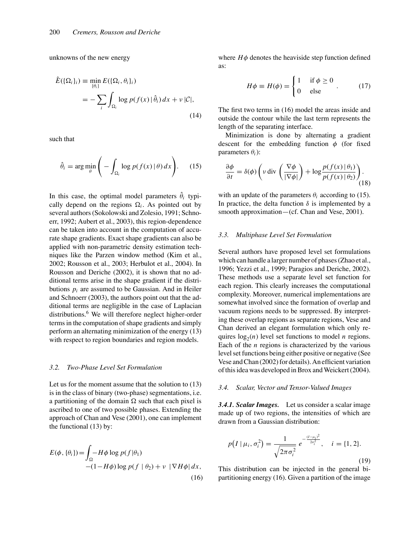unknowns of the new energy

$$
\hat{E}(\{\Omega_i\}_i) \equiv \min_{\{\theta_i\}} E(\{\Omega_i, \theta_i\}_i)
$$
  
= 
$$
-\sum_i \int_{\Omega_i} \log p(f(x) | \hat{\theta}_i) dx + \nu |\mathcal{C}|,
$$
 (14)

such that

$$
\hat{\theta}_i = \arg\min_{\theta} \left( -\int_{\Omega_i} \log p(f(x) | \theta) dx \right). \tag{15}
$$

In this case, the optimal model parameters  $\hat{\theta}_i$  typically depend on the regions  $\Omega_i$ . As pointed out by several authors (Sokolowski and Zolesio, 1991; Schnoerr, 1992; Aubert et al., 2003), this region-dependence can be taken into account in the computation of accurate shape gradients. Exact shape gradients can also be applied with non-parametric density estimation techniques like the Parzen window method (Kim et al., 2002; Rousson et al., 2003; Herbulot et al., 2004). In Rousson and Deriche (2002), it is shown that no additional terms arise in the shape gradient if the distributions  $p_i$  are assumed to be Gaussian. And in Heiler and Schnoerr (2003), the authors point out that the additional terms are negligible in the case of Laplacian distributions.<sup>6</sup> We will therefore neglect higher-order terms in the computation of shape gradients and simply perform an alternating minimization of the energy (13) with respect to region boundaries and region models.

#### *3.2. Two-Phase Level Set Formulation*

Let us for the moment assume that the solution to (13) is in the class of binary (two-phase) segmentations, i.e. a partitioning of the domain  $\Omega$  such that each pixel is ascribed to one of two possible phases. Extending the approach of Chan and Vese (2001), one can implement the functional (13) by:

$$
E(\phi, \{\theta_i\}) = \int_{\Omega} -H\phi \log p(f|\theta_1)
$$
  
-(1 - H\phi)log p(f | \theta\_2) + v |\nabla H\phi| dx, (16)

where  $H\phi$  denotes the heaviside step function defined as:

$$
H\phi \equiv H(\phi) = \begin{cases} 1 & \text{if } \phi \ge 0 \\ 0 & \text{else} \end{cases} . \tag{17}
$$

The first two terms in (16) model the areas inside and outside the contour while the last term represents the length of the separating interface.

Minimization is done by alternating a gradient descent for the embedding function  $\phi$  (for fixed parameters θ*i*):

$$
\frac{\partial \phi}{\partial t} = \delta(\phi) \left( v \operatorname{div} \left( \frac{\nabla \phi}{|\nabla \phi|} \right) + \log \frac{p(f(x) | \theta_1)}{p(f(x) | \theta_2)} \right). \tag{18}
$$

with an update of the parameters  $\theta_i$  according to (15). In practice, the delta function  $\delta$  is implemented by a smooth approximation—(cf. Chan and Vese, 2001).

## *3.3. Multiphase Level Set Formulation*

Several authors have proposed level set formulations which can handle a larger number of phases (Zhao et al., 1996; Yezzi et al., 1999; Paragios and Deriche, 2002). These methods use a separate level set function for each region. This clearly increases the computational complexity. Moreover, numerical implementations are somewhat involved since the formation of overlap and vacuum regions needs to be suppressed. By interpreting these overlap regions as separate regions, Vese and Chan derived an elegant formulation which only requires  $log_2(n)$  level set functions to model *n* regions. Each of the *n* regions is characterized by the various level set functions being either positive or negative (See Vese and Chan (2002) for details). An efficient variation of this idea was developed in Brox and Weickert (2004).

#### *3.4. Scalar, Vector and Tensor-Valued Images*

*3.4.1. Scalar Images.* Let us consider a scalar image made up of two regions, the intensities of which are drawn from a Gaussian distribution:

$$
p(I \mid \mu_i, \sigma_i^2) = \frac{1}{\sqrt{2\pi \sigma_i^2}} e^{-\frac{(I - \mu_i)^2}{2\sigma_i^2}}, \quad i = \{1, 2\}.
$$
\n(19)

This distribution can be injected in the general bipartitioning energy (16). Given a partition of the image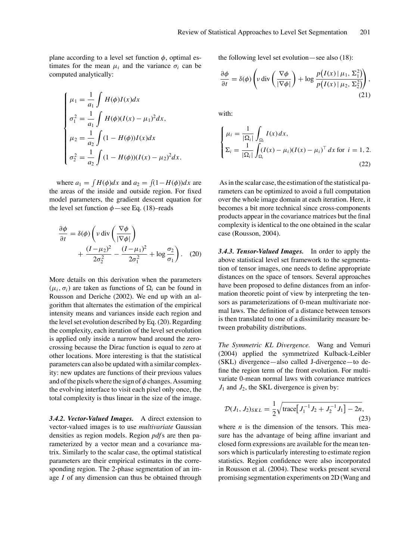plane according to a level set function  $\phi$ , optimal estimates for the mean  $\mu_i$  and the variance  $\sigma_i$  can be computed analytically:

$$
\begin{cases}\n\mu_1 = \frac{1}{a_1} \int H(\phi) I(x) dx \\
\sigma_1^2 = \frac{1}{a_1} \int H(\phi) (I(x) - \mu_1)^2 dx, \\
\mu_2 = \frac{1}{a_2} \int (1 - H(\phi)) I(x) dx \\
\sigma_2^2 = \frac{1}{a_2} \int (1 - H(\phi)) (I(x) - \mu_2)^2 dx.\n\end{cases}
$$

where  $a_1 = \int H(\phi)dx$  and  $a_2 = \int (1 - H(\phi))dx$  are the areas of the inside and outside region. For fixed model parameters, the gradient descent equation for the level set function  $\phi$  – see Eq. (18)–reads

$$
\frac{\partial \phi}{\partial t} = \delta(\phi) \left( v \operatorname{div} \left( \frac{\nabla \phi}{|\nabla \phi|} \right) + \frac{(I - \mu_2)^2}{2\sigma_2^2} - \frac{(I - \mu_1)^2}{2\sigma_1^2} + \log \frac{\sigma_2}{\sigma_1} \right). \tag{20}
$$

More details on this derivation when the parameters  $(\mu_i, \sigma_i)$  are taken as functions of  $\Omega_i$  can be found in Rousson and Deriche (2002). We end up with an algorithm that alternates the estimation of the empirical intensity means and variances inside each region and the level set evolution described by Eq. (20). Regarding the complexity, each iteration of the level set evolution is applied only inside a narrow band around the zerocrossing because the Dirac function is equal to zero at other locations. More interesting is that the statistical parameters can also be updated with a similar complexity: new updates are functions of their previous values and of the pixels where the sign of  $\phi$  changes. Assuming the evolving interface to visit each pixel only once, the total complexity is thus linear in the size of the image.

*3.4.2. Vector-Valued Images.* A direct extension to vector-valued images is to use *multivariate* Gaussian densities as region models. Region *pdf*s are then parameterized by a vector mean and a covariance matrix. Similarly to the scalar case, the optimal statistical parameters are their empirical estimates in the corresponding region. The 2-phase segmentation of an image *I* of any dimension can thus be obtained through the following level set evolution—see also (18):

$$
\frac{\partial \phi}{\partial t} = \delta(\phi) \left( v \operatorname{div} \left( \frac{\nabla \phi}{|\nabla \phi|} \right) + \log \frac{p(I(x) | \mu_1, \Sigma_1^2)}{p(I(x) | \mu_2, \Sigma_2^2)} \right),\tag{21}
$$

with:

$$
\begin{cases} \n\mu_i = \frac{1}{|\Omega_i|} \int_{\Omega_i} I(x) \, dx, \\ \n\Sigma_i = \frac{1}{|\Omega_i|} \int_{\Omega_i} (I(x) - \mu_i)(I(x) - \mu_i)^\top \, dx \text{ for } i = 1, 2. \n\end{cases}
$$
\n(22)

As in the scalar case, the estimation of the statistical parameters can be optimized to avoid a full computation over the whole image domain at each iteration. Here, it becomes a bit more technical since cross-components products appear in the covariance matrices but the final complexity is identical to the one obtained in the scalar case (Rousson, 2004).

*3.4.3. Tensor-Valued Images.* In order to apply the above statistical level set framework to the segmentation of tensor images, one needs to define appropriate distances on the space of tensors. Several approaches have been proposed to define distances from an information theoretic point of view by interpreting the tensors as parameterizations of 0-mean multivariate normal laws. The definition of a distance between tensors is then translated to one of a dissimilarity measure between probability distributions.

*The Symmetric KL Divergence.* Wang and Vemuri (2004) applied the symmetrized Kulback-Leibler (SKL) divergence—also called J-divergence—to define the region term of the front evolution. For multivariate 0-mean normal laws with covariance matrices  $J_1$  and  $J_2$ , the SKL divergence is given by:

$$
\mathcal{D}(J_1, J_2)_{SKL} = \frac{1}{2} \sqrt{\text{trace}[J_1^{-1}J_2 + J_2^{-1}J_1] - 2n},\tag{23}
$$

where  $n$  is the dimension of the tensors. This measure has the advantage of being affine invariant and closed form expressions are available for the mean tensors which is particularly interesting to estimate region statistics. Region confidence were also incorporated in Rousson et al. (2004). These works present several promising segmentation experiments on 2D (Wang and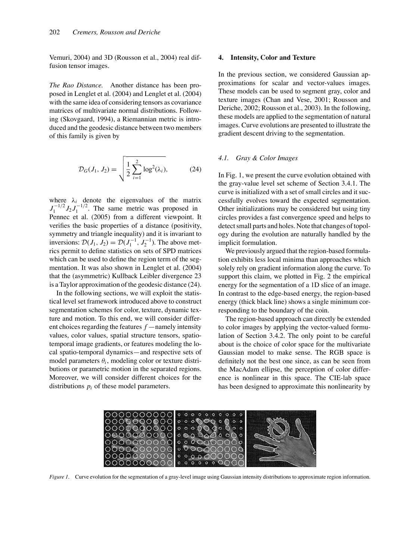Vemuri, 2004) and 3D (Rousson et al., 2004) real diffusion tensor images.

*The Rao Distance.* Another distance has been proposed in Lenglet et al. (2004) and Lenglet et al. (2004) with the same idea of considering tensors as covariance matrices of multivariate normal distributions. Following (Skovgaard, 1994), a Riemannian metric is introduced and the geodesic distance between two members of this family is given by

$$
\mathcal{D}_G(J_1, J_2) = \sqrt{\frac{1}{2} \sum_{i=1}^{2} \log^2(\lambda_i)},
$$
 (24)

where  $\lambda_i$  denote the eigenvalues of the matrix  $J_1^{-1/2} J_2 J_1^{-1/2}$ . The same metric was proposed in Pennec et al. (2005) from a different viewpoint. It verifies the basic properties of a distance (positivity, symmetry and triangle inequality) and it is invariant to inversions:  $\mathcal{D}(J_1, J_2) = \mathcal{D}(J_1^{-1}, J_2^{-1})$ . The above metrics permit to define statistics on sets of SPD matrices which can be used to define the region term of the segmentation. It was also shown in Lenglet et al. (2004) that the (asymmetric) Kullback Leibler divergence 23 is a Taylor approximation of the geodesic distance (24).

In the following sections, we will exploit the statistical level set framework introduced above to construct segmentation schemes for color, texture, dynamic texture and motion. To this end, we will consider different choices regarding the features *f* —namely intensity values, color values, spatial structure tensors, spatiotemporal image gradients, or features modeling the local spatio-temporal dynamics—and respective sets of model parameters  $\theta_i$ , modeling color or texture distributions or parametric motion in the separated regions. Moreover, we will consider different choices for the distributions *pi* of these model parameters.

#### **4. Intensity, Color and Texture**

In the previous section, we considered Gaussian approximations for scalar and vector-values images. These models can be used to segment gray, color and texture images (Chan and Vese, 2001; Rousson and Deriche, 2002; Rousson et al., 2003). In the following, these models are applied to the segmentation of natural images. Curve evolutions are presented to illustrate the gradient descent driving to the segmentation.

#### *4.1. Gray & Color Images*

In Fig. 1, we present the curve evolution obtained with the gray-value level set scheme of Section 3.4.1. The curve is initialized with a set of small circles and it successfully evolves toward the expected segmentation. Other initializations may be considered but using tiny circles provides a fast convergence speed and helps to detect small parts and holes. Note that changes of topology during the evolution are naturally handled by the implicit formulation.

We previously argued that the region-based formulation exhibits less local minima than approaches which solely rely on gradient information along the curve. To support this claim, we plotted in Fig. 2 the empirical energy for the segmentation of a 1D slice of an image. In contrast to the edge-based energy, the region-based energy (thick black line) shows a single minimum corresponding to the boundary of the coin.

The region-based approach can directly be extended to color images by applying the vector-valued formulation of Section 3.4.2. The only point to be careful about is the choice of color space for the multivariate Gaussian model to make sense. The RGB space is definitely not the best one since, as can be seen from the MacAdam ellipse, the perception of color difference is nonlinear in this space. The CIE-lab space has been designed to approximate this nonlinearity by



*Figure 1*. Curve evolution for the segmentation of a gray-level image using Gaussian intensity distributions to approximate region information.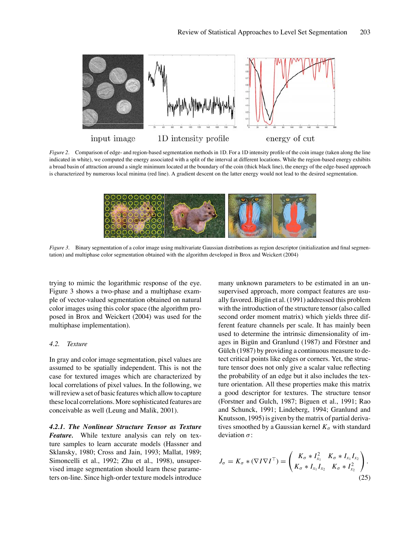

*Figure 2*. Comparison of edge- and region-based segmentation methods in 1D. For a 1D intensity profile of the coin image (taken along the line indicated in white), we computed the energy associated with a split of the interval at different locations. While the region-based energy exhibits a broad basin of attraction around a single minimum located at the boundary of the coin (thick black line), the energy of the edge-based approach is characterized by numerous local minima (red line). A gradient descent on the latter energy would not lead to the desired segmentation.



*Figure 3*. Binary segmentation of a color image using multivariate Gaussian distributions as region descriptor (initialization and final segmentation) and multiphase color segmentation obtained with the algorithm developed in Brox and Weickert (2004)

trying to mimic the logarithmic response of the eye. Figure 3 shows a two-phase and a multiphase example of vector-valued segmentation obtained on natural color images using this color space (the algorithm proposed in Brox and Weickert (2004) was used for the multiphase implementation).

#### *4.2. Texture*

In gray and color image segmentation, pixel values are assumed to be spatially independent. This is not the case for textured images which are characterized by local correlations of pixel values. In the following, we will review a set of basic features which allow to capture these local correlations. More sophisticated features are conceivable as well (Leung and Malik, 2001).

*4.2.1. The Nonlinear Structure Tensor as Texture Feature.* While texture analysis can rely on texture samples to learn accurate models (Hassner and Sklansky, 1980; Cross and Jain, 1993; Mallat, 1989; Simoncelli et al., 1992; Zhu et al., 1998), unsupervised image segmentation should learn these parameters on-line. Since high-order texture models introduce many unknown parameters to be estimated in an unsupervised approach, more compact features are usually favored. Bigün et al. (1991) addressed this problem with the introduction of the structure tensor (also called second order moment matrix) which yields three different feature channels per scale. It has mainly been used to determine the intrinsic dimensionality of images in Bigün and Granlund (1987) and Förstner and Gülch  $(1987)$  by providing a continuous measure to detect critical points like edges or corners. Yet, the structure tensor does not only give a scalar value reflecting the probability of an edge but it also includes the texture orientation. All these properties make this matrix a good descriptor for textures. The structure tensor (Forstner and Gulch, 1987; Biguen et al., 1991; Rao and Schunck, 1991; Lindeberg, 1994; Granlund and Knutsson, 1995) is given by the matrix of partial derivatives smoothed by a Gaussian kernel  $K_{\sigma}$  with standard deviation  $\sigma$ :

$$
J_{\sigma} = K_{\sigma} * (\nabla I \nabla I^{\top}) = \begin{pmatrix} K_{\sigma} * I_{x_1}^2 & K_{\sigma} * I_{x_1} I_{x_2} \\ K_{\sigma} * I_{x_1} I_{x_2} & K_{\sigma} * I_{x_2}^2 \end{pmatrix}.
$$
\n(25)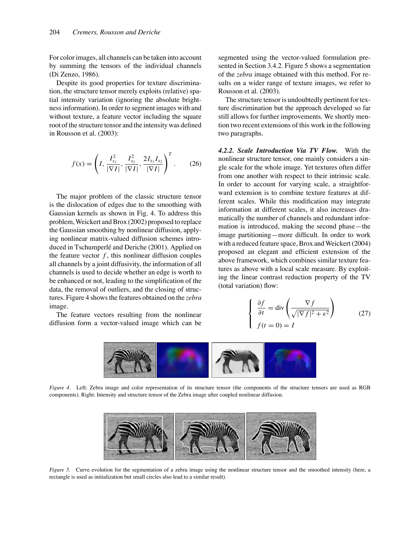For color images, all channels can be taken into account by summing the tensors of the individual channels (Di Zenzo, 1986).

Despite its good properties for texture discrimination, the structure tensor merely exploits (relative) spatial intensity variation (ignoring the absolute brightness information). In order to segment images with and without texture, a feature vector including the square root of the structure tensor and the intensity was defined in Rousson et al. (2003):

$$
f(x) = \left(I, \frac{I_{x_1}^2}{|\nabla I|}, \frac{I_{x_2}^2}{|\nabla I|}, \frac{2I_{x_1}I_{x_2}}{|\nabla I|}\right)^T.
$$
 (26)

The major problem of the classic structure tensor is the dislocation of edges due to the smoothing with Gaussian kernels as shown in Fig. 4. To address this problem, Weickert and Brox (2002) proposed to replace the Gaussian smoothing by nonlinear diffusion, applying nonlinear matrix-valued diffusion schemes introduced in Tschumperlé and Deriche (2001). Applied on the feature vector  $f$ , this nonlinear diffusion couples all channels by a joint diffusivity, the information of all channels is used to decide whether an edge is worth to be enhanced or not, leading to the simplification of the data, the removal of outliers, and the closing of structures. Figure 4 shows the features obtained on the *zebra* image.

The feature vectors resulting from the nonlinear diffusion form a vector-valued image which can be

segmented using the vector-valued formulation presented in Section 3.4.2. Figure 5 shows a segmentation of the *zebra* image obtained with this method. For results on a wider range of texture images, we refer to Rousson et al. (2003).

The structure tensor is undoubtedly pertinent for texture discrimination but the approach developed so far still allows for further improvements. We shortly mention two recent extensions of this work in the following two paragraphs.

*4.2.2. Scale Introduction Via TV Flow.* With the nonlinear structure tensor, one mainly considers a single scale for the whole image. Yet textures often differ from one another with respect to their intrinsic scale. In order to account for varying scale, a straightforward extension is to combine texture features at different scales. While this modification may integrate information at different scales, it also increases dramatically the number of channels and redundant information is introduced, making the second phase—the image partitioning—more difficult. In order to work with a reduced feature space, Brox and Weickert (2004) proposed an elegant and efficient extension of the above framework, which combines similar texture features as above with a local scale measure. By exploiting the linear contrast reduction property of the TV (total variation) flow:

$$
\begin{cases} \frac{\partial f}{\partial t} = \text{div}\left(\frac{\nabla f}{\sqrt{|\nabla f|^2 + \epsilon^2}}\right) \\ f(t = 0) = I \end{cases}
$$
 (27)



*Figure 4.* Left: Zebra image and color representation of its structure tensor (the components of the structure tensors are used as RGB components). Right: Intensity and structure tensor of the Zebra image after coupled nonlinear diffusion.



*Figure 5*. Curve evolution for the segmentation of a zebra image using the nonlinear structure tensor and the smoothed intensity (here, a rectangle is used as initialization but small circles also lead to a similar result).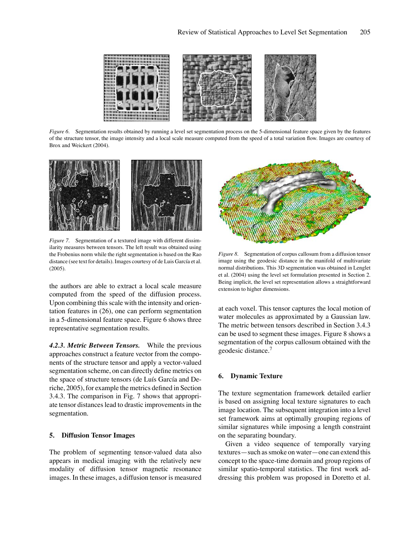

*Figure 6*. Segmentation results obtained by running a level set segmentation process on the 5-dimensional feature space given by the features of the structure tensor, the image intensity and a local scale measure computed from the speed of a total variation flow. Images are courtesy of Brox and Weickert (2004).



*Figure 7.* Segmentation of a textured image with different dissimilarity measures between tensors. The left result was obtained using the Frobenius norm while the right segmentation is based on the Rao distance (see text for details). Images courtesy of de Luis García et al. (2005).

the authors are able to extract a local scale measure computed from the speed of the diffusion process. Upon combining this scale with the intensity and orientation features in (26), one can perform segmentation in a 5-dimensional feature space. Figure 6 shows three representative segmentation results.

*4.2.3. Metric Between Tensors.* While the previous approaches construct a feature vector from the components of the structure tensor and apply a vector-valued segmentation scheme, on can directly define metrics on the space of structure tensors (de Luís García and Deriche, 2005), for example the metrics defined in Section 3.4.3. The comparison in Fig. 7 shows that appropriate tensor distances lead to drastic improvements in the segmentation.

## **5. Diffusion Tensor Images**

The problem of segmenting tensor-valued data also appears in medical imaging with the relatively new modality of diffusion tensor magnetic resonance images. In these images, a diffusion tensor is measured



*Figure 8*. Segmentation of corpus callosum from a diffusion tensor image using the geodesic distance in the manifold of multivariate normal distributions. This 3D segmentation was obtained in Lenglet et al. (2004) using the level set formulation presented in Section 2. Being implicit, the level set representation allows a straightforward extension to higher dimensions.

at each voxel. This tensor captures the local motion of water molecules as approximated by a Gaussian law. The metric between tensors described in Section 3.4.3 can be used to segment these images. Figure 8 shows a segmentation of the corpus callosum obtained with the geodesic distance.<sup>7</sup>

## **6. Dynamic Texture**

The texture segmentation framework detailed earlier is based on assigning local texture signatures to each image location. The subsequent integration into a level set framework aims at optimally grouping regions of similar signatures while imposing a length constraint on the separating boundary.

Given a video sequence of temporally varying textures—such as smoke on water—one can extend this concept to the space-time domain and group regions of similar spatio-temporal statistics. The first work addressing this problem was proposed in Doretto et al.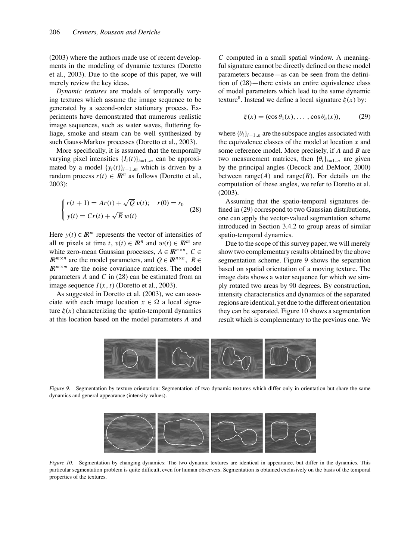(2003) where the authors made use of recent developments in the modeling of dynamic textures (Doretto et al., 2003). Due to the scope of this paper, we will merely review the key ideas.

*Dynamic textures* are models of temporally varying textures which assume the image sequence to be generated by a second-order stationary process. Experiments have demonstrated that numerous realistic image sequences, such as water waves, fluttering foliage, smoke and steam can be well synthesized by such Gauss-Markov processes (Doretto et al., 2003).

More specifically, it is assumed that the temporally varying pixel intensities  $\{I_i(t)\}_{i=1..m}$  can be approximated by a model  $\{y_i(t)\}_{i=1..m}$  which is driven by a random process  $r(t) \in \mathbb{R}^n$  as follows (Doretto et al., 2003):

$$
\begin{cases}\nr(t+1) = Ar(t) + \sqrt{Q} v(t); & r(0) = r_0 \\
y(t) = Cr(t) + \sqrt{R} w(t)\n\end{cases}
$$
\n(28)

Here  $y(t) \in \mathbb{R}^m$  represents the vector of intensities of all *m* pixels at time *t*,  $v(t) \in \mathbb{R}^n$  and  $w(t) \in \mathbb{R}^m$  are white zero-mean Gaussian processes,  $A \in \mathbb{R}^{n \times n}$ ,  $C \in$ *IR*<sup>*m*×*n*</sup> are the model parameters, and  $Q \in \mathbb{R}^{n \times n}$ ,  $R \in$  $I\!R^{m \times m}$  are the noise covariance matrices. The model parameters *A* and *C* in (28) can be estimated from an image sequence  $I(x, t)$  (Doretto et al., 2003).

As suggested in Doretto et al. (2003), we can associate with each image location  $x \in \Omega$  a local signature  $\xi(x)$  characterizing the spatio-temporal dynamics at this location based on the model parameters *A* and *C* computed in a small spatial window. A meaningful signature cannot be directly defined on these model parameters because—as can be seen from the definition of (28)—there exists an entire equivalence class of model parameters which lead to the same dynamic texture<sup>8</sup>. Instead we define a local signature  $\xi(x)$  by:

$$
\xi(x) = (\cos \theta_1(x), \dots, \cos \theta_n(x)), \quad (29)
$$

where  $\{\theta_i\}_{i=1}$ . *n* are the subspace angles associated with the equivalence classes of the model at location *x* and some reference model. More precisely, if *A* and *B* are two measurement matrices, then  ${\theta_i}_{i=1..n}$  are given by the principal angles (Decock and DeMoor, 2000) between range $(A)$  and range $(B)$ . For details on the computation of these angles, we refer to Doretto et al. (2003).

Assuming that the spatio-temporal signatures defined in (29) correspond to two Gaussian distributions, one can apply the vector-valued segmentation scheme introduced in Section 3.4.2 to group areas of similar spatio-temporal dynamics.

Due to the scope of this survey paper, we will merely show two complementary results obtained by the above segmentation scheme. Figure 9 shows the separation based on spatial orientation of a moving texture. The image data shows a water sequence for which we simply rotated two areas by 90 degrees. By construction, intensity characteristics and dynamics of the separated regions are identical, yet due to the different orientation they can be separated. Figure 10 shows a segmentation result which is complementary to the previous one. We



*Figure 9*. Segmentation by texture orientation: Segmentation of two dynamic textures which differ only in orientation but share the same dynamics and general appearance (intensity values).



*Figure 10*. Segmentation by changing dynamics: The two dynamic textures are identical in appearance, but differ in the dynamics. This particular segmentation problem is quite difficult, even for human observers. Segmentation is obtained exclusively on the basis of the temporal properties of the textures.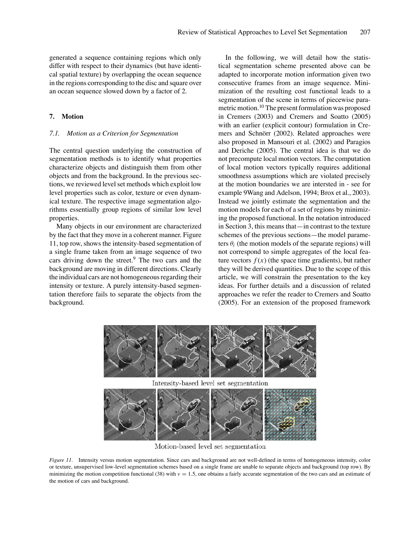generated a sequence containing regions which only differ with respect to their dynamics (but have identical spatial texture) by overlapping the ocean sequence in the regions corresponding to the disc and square over an ocean sequence slowed down by a factor of 2.

## **7. Motion**

#### *7.1. Motion as a Criterion for Segmentation*

The central question underlying the construction of segmentation methods is to identify what properties characterize objects and distinguish them from other objects and from the background. In the previous sections, we reviewed level set methods which exploit low level properties such as color, texture or even dynamical texture. The respective image segmentation algorithms essentially group regions of similar low level properties.

Many objects in our environment are characterized by the fact that they move in a coherent manner. Figure 11, top row, shows the intensity-based segmentation of a single frame taken from an image sequence of two cars driving down the street. $9$  The two cars and the background are moving in different directions. Clearly the individual cars are not homogeneous regarding their intensity or texture. A purely intensity-based segmentation therefore fails to separate the objects from the background.

In the following, we will detail how the statistical segmentation scheme presented above can be adapted to incorporate motion information given two consecutive frames from an image sequence. Minimization of the resulting cost functional leads to a segmentation of the scene in terms of piecewise parametric motion.10 The present formulation was proposed in Cremers (2003) and Cremers and Soatto (2005) with an earlier (explicit contour) formulation in Cremers and Schnörr (2002). Related approaches were also proposed in Mansouri et al. (2002) and Paragios and Deriche (2005). The central idea is that we do not precompute local motion vectors. The computation of local motion vectors typically requires additional smoothness assumptions which are violated precisely at the motion boundaries we are intersted in - see for example 9Wang and Adelson, 1994; Brox et al., 2003). Instead we jointly estimate the segmentation and the motion models for each of a set of regions by minimizing the proposed functional. In the notation introduced in Section 3, this means that—in contrast to the texture schemes of the previous sections—the model parameters  $\theta_i$  (the motion models of the separate regions) will not correspond to simple aggregates of the local feature vectors  $f(x)$  (the space time gradients), but rather they will be derived quantities. Due to the scope of this article, we will constrain the presentation to the key ideas. For further details and a discussion of related approaches we refer the reader to Cremers and Soatto (2005). For an extension of the proposed framework



Motion-based level set segmentation

*Figure 11*. Intensity versus motion segmentation. Since cars and background are not well-defined in terms of homogeneous intensity, color or texture, unsupervised low-level segmentation schemes based on a single frame are unable to separate objects and background (top row). By minimizing the motion competition functional (38) with  $v = 1.5$ , one obtains a fairly accurate segmentation of the two cars and an estimate of the motion of cars and background.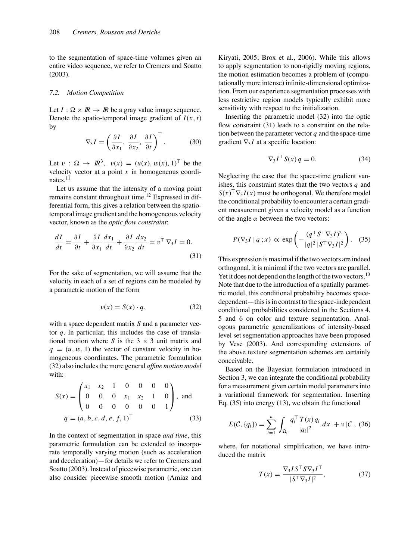to the segmentation of space-time volumes given an entire video sequence, we refer to Cremers and Soatto (2003).

## *7.2. Motion Competition*

Let  $I: \Omega \times \mathbb{R} \to \mathbb{R}$  be a gray value image sequence. Denote the spatio-temporal image gradient of  $I(x, t)$ by

$$
\nabla_3 I = \left(\frac{\partial I}{\partial x_1}, \frac{\partial I}{\partial x_2}, \frac{\partial I}{\partial t}\right)^\top.
$$
 (30)

Let  $v : \Omega \to \mathbb{R}^3$ ,  $v(x) = (u(x), w(x), 1)^{\top}$  be the velocity vector at a point *x* in homogeneous coordinates.11

Let us assume that the intensity of a moving point remains constant throughout time.12 Expressed in differential form, this gives a relation between the spatiotemporal image gradient and the homogeneous velocity vector, known as the *optic flow constraint*:

$$
\frac{dI}{dt} = \frac{\partial I}{\partial t} + \frac{\partial I}{\partial x_1}\frac{dx_1}{dt} + \frac{\partial I}{\partial x_2}\frac{dx_2}{dt} = v^\top \nabla_3 I = 0.
$$
\n(31)

For the sake of segmentation, we will assume that the velocity in each of a set of regions can be modeled by a parametric motion of the form

$$
v(x) = S(x) \cdot q,\tag{32}
$$

with a space dependent matrix *S* and a parameter vector *q*. In particular, this includes the case of translational motion where *S* is the  $3 \times 3$  unit matrix and  $q = (u, w, 1)$  the vector of constant velocity in homogeneous coordinates. The parametric formulation (32) also includes the more general *affine motion model* with:

$$
S(x) = \begin{pmatrix} x_1 & x_2 & 1 & 0 & 0 & 0 & 0 \\ 0 & 0 & 0 & x_1 & x_2 & 1 & 0 \\ 0 & 0 & 0 & 0 & 0 & 0 & 1 \end{pmatrix}
$$
, and   
 
$$
q = (a, b, c, d, e, f, 1)^T
$$
 (33)

In the context of segmentation in space *and time*, this parametric formulation can be extended to incorporate temporally varying motion (such as acceleration and deceleration)—for details we refer to Cremers and Soatto (2003). Instead of piecewise parametric, one can also consider piecewise smooth motion (Amiaz and

Kiryati, 2005; Brox et al., 2006). While this allows to apply segmentation to non-rigidly moving regions, the motion estimation becomes a problem of (computationally more intense) infinite-dimensional optimization. From our experience segmentation processes with less restrictive region models typically exhibit more sensitivity with respect to the initialization.

Inserting the parametric model (32) into the optic flow constraint (31) leads to a constraint on the relation between the parameter vector  $q$  and the space-time gradient ∇<sup>3</sup> *I* at a specific location:

$$
\nabla_3 I^\top S(x) q = 0. \tag{34}
$$

Neglecting the case that the space-time gradient vanishes, this constraint states that the two vectors *q* and  $S(x)$ <sup>T</sup> $\nabla$ <sub>3</sub>*I*(*x*) must be orthogonal. We therefore model the conditional probability to encounter a certain gradient measurement given a velocity model as a function of the angle  $\alpha$  between the two vectors:

$$
P(\nabla_3 I \mid q \; ; x) \propto \exp\left(-\frac{(q^{\top} S^{\top} \nabla_3 I)^2}{|q|^2 \; |S^{\top} \nabla_3 I|^2}\right). \tag{35}
$$

This expression is maximal if the two vectors are indeed orthogonal, it is minimal if the two vectors are parallel. Yet it does not depend on the length of the two vectors.<sup>13</sup> Note that due to the introduction of a spatially parametric model, this conditional probability becomes spacedependent—this is in contrast to the space-independent conditional probabilities considered in the Sections 4, 5 and 6 on color and texture segmentation. Analogous parametric generalizations of intensity-based level set segmentation approaches have been proposed by Vese (2003). And corresponding extensions of the above texture segmentation schemes are certainly conceivable.

Based on the Bayesian formulation introduced in Section 3, we can integrate the conditional probability for a measurement given certain model parameters into a variational framework for segmentation. Inserting Eq. (35) into energy (13), we obtain the functional

$$
E(\mathcal{C}, \{q_i\}) = \sum_{i=1}^{n} \int_{\Omega_i} \frac{q_i^{\top} T(x) q_i}{|q_i|^2} dx + \nu |\mathcal{C}|, (36)
$$

where, for notational simplification, we have introduced the matrix

$$
T(x) = \frac{\nabla_3 I S^\top S \nabla_3 I^\top}{|S^\top \nabla_3 I|^2},\tag{37}
$$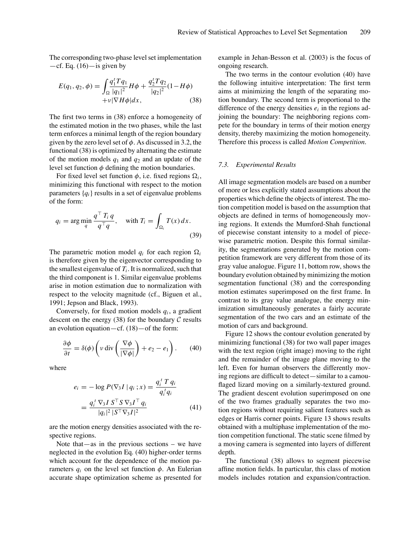The corresponding two-phase level set implementation  $-cf.$  Eq.  $(16)$  - is given by

$$
E(q_1, q_2, \phi) = \int_{\Omega} \frac{q_1^T T q_1}{|q_1|^2} H\phi + \frac{q_2^T T q_2}{|q_2|^2} (1 - H\phi)
$$
  
+  $\nu |\nabla H\phi| dx$ , (38)

The first two terms in (38) enforce a homogeneity of the estimated motion in the two phases, while the last term enforces a minimal length of the region boundary given by the zero level set of  $\phi$ . As discussed in 3.2, the functional (38) is optimized by alternating the estimate of the motion models  $q_1$  and  $q_2$  and an update of the level set function  $\phi$  defining the motion boundaries.

For fixed level set function  $\phi$ , i.e. fixed regions  $\Omega_i$ , minimizing this functional with respect to the motion parameters  ${q_i}$  results in a set of eigenvalue problems of the form:

$$
q_i = \arg\min_{q} \frac{q^\top T_i q}{q^\top q}, \quad \text{with } T_i = \int_{\Omega_i} T(x) \, dx. \tag{39}
$$

The parametric motion model  $q_i$  for each region  $\Omega_i$ is therefore given by the eigenvector corresponding to the smallest eigenvalue of  $T_i$ . It is normalized, such that the third component is 1. Similar eigenvalue problems arise in motion estimation due to normalization with respect to the velocity magnitude (cf., Biguen et al., 1991; Jepson and Black, 1993).

Conversely, for fixed motion models *qi* , a gradient descent on the energy (38) for the boundary  $C$  results an evolution equation—cf. (18)—of the form:

$$
\frac{\partial \phi}{\partial t} = \delta(\phi) \left( v \operatorname{div} \left( \frac{\nabla \phi}{|\nabla \phi|} \right) + e_2 - e_1 \right). \tag{40}
$$

where

$$
e_i = -\log P(\nabla_3 I | q_i ; x) = \frac{q_i^T T q_i}{q_i^T q_i}
$$
  
= 
$$
\frac{q_i^T \nabla_3 I S^T S \nabla_3 I^T q_i}{|q_i|^2 |S^T \nabla_3 I|^2}
$$
(41)

are the motion energy densities associated with the respective regions.

Note that—as in the previous sections – we have neglected in the evolution Eq. (40) higher-order terms which account for the dependence of the motion parameters  $q_i$  on the level set function  $\phi$ . An Eulerian accurate shape optimization scheme as presented for example in Jehan-Besson et al. (2003) is the focus of ongoing research.

The two terms in the contour evolution (40) have the following intuitive interpretation: The first term aims at minimizing the length of the separating motion boundary. The second term is proportional to the difference of the energy densities  $e_i$  in the regions adjoining the boundary: The neighboring regions compete for the boundary in terms of their motion energy density, thereby maximizing the motion homogeneity. Therefore this process is called *Motion Competition*.

## *7.3. Experimental Results*

All image segmentation models are based on a number of more or less explicitly stated assumptions about the properties which define the objects of interest. The motion competition model is based on the assumption that objects are defined in terms of homogeneously moving regions. It extends the Mumford-Shah functional of piecewise constant intensity to a model of piecewise parametric motion. Despite this formal similarity, the segmentations generated by the motion competition framework are very different from those of its gray value analogue. Figure 11, bottom row, shows the boundary evolution obtained by minimizing the motion segmentation functional (38) and the corresponding motion estimates superimposed on the first frame. In contrast to its gray value analogue, the energy minimization simultaneously generates a fairly accurate segmentation of the two cars and an estimate of the motion of cars and background.

Figure 12 shows the contour evolution generated by minimizing functional (38) for two wall paper images with the text region (right image) moving to the right and the remainder of the image plane moving to the left. Even for human observers the differently moving regions are difficult to detect—similar to a camouflaged lizard moving on a similarly-textured ground. The gradient descent evolution superimposed on one of the two frames gradually separates the two motion regions without requiring salient features such as edges or Harris corner points. Figure 13 shows results obtained with a multiphase implementation of the motion competition functional. The static scene filmed by a moving camera is segmented into layers of different depth.

The functional (38) allows to segment piecewise affine motion fields. In particular, this class of motion models includes rotation and expansion/contraction.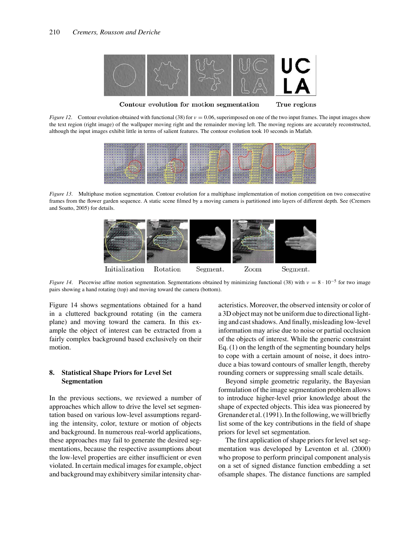

Contour evolution for motion segmentation True regions

*Figure 12.* Contour evolution obtained with functional (38) for  $v = 0.06$ , superimposed on one of the two input frames. The input images show the text region (right image) of the wallpaper moving right and the remainder moving left. The moving regions are accurately reconstructed, although the input images exhibit little in terms of salient features. The contour evolution took 10 seconds in Matlab.



*Figure 13.* Multiphase motion segmentation. Contour evolution for a multiphase implementation of motion competition on two consecutive frames from the flower garden sequence. A static scene filmed by a moving camera is partitioned into layers of different depth. See (Cremers and Soatto, 2005) for details.



*Figure 14.* Piecewise affine motion segmentation. Segmentations obtained by minimizing functional (38) with  $\nu = 8 \cdot 10^{-5}$  for two image pairs showing a hand rotating (top) and moving toward the camera (bottom).

Figure 14 shows segmentations obtained for a hand in a cluttered background rotating (in the camera plane) and moving toward the camera. In this example the object of interest can be extracted from a fairly complex background based exclusively on their motion.

## **8. Statistical Shape Priors for Level Set Segmentation**

In the previous sections, we reviewed a number of approaches which allow to drive the level set segmentation based on various low-level assumptions regarding the intensity, color, texture or motion of objects and background. In numerous real-world applications, these approaches may fail to generate the desired segmentations, because the respective assumptions about the low-level properties are either insufficient or even violated. In certain medical images for example, object and background may exhibitvery similar intensity characteristics. Moreover, the observed intensity or color of a 3D object may not be uniform due to directional lighting and cast shadows. And finally, misleading low-level information may arise due to noise or partial occlusion of the objects of interest. While the generic constraint Eq. (1) on the length of the segmenting boundary helps to cope with a certain amount of noise, it does introduce a bias toward contours of smaller length, thereby rounding corners or suppressing small scale details.

Beyond simple geometric regularity, the Bayesian formulation of the image segmentation problem allows to introduce higher-level prior knowledge about the shape of expected objects. This idea was pioneered by Grenander et al. (1991). In the following, we will briefly list some of the key contributions in the field of shape priors for level set segmentation.

The first application of shape priors for level set segmentation was developed by Leventon et al. (2000) who propose to perform principal component analysis on a set of signed distance function embedding a set ofsample shapes. The distance functions are sampled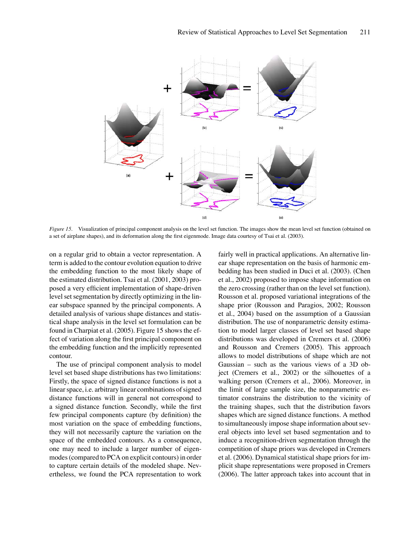

*Figure 15*. Visualization of principal component analysis on the level set function. The images show the mean level set function (obtained on a set of airplane shapes), and its deformation along the first eigenmode. Image data courtesy of Tsai et al. (2003).

on a regular grid to obtain a vector representation. A term is added to the contour evolution equation to drive the embedding function to the most likely shape of the estimated distribution. Tsai et al. (2001, 2003) proposed a very efficient implementation of shape-driven level set segmentation by directly optimizing in the linear subspace spanned by the principal components. A detailed analysis of various shape distances and statistical shape analysis in the level set formulation can be found in Charpiat et al. (2005). Figure 15 shows the effect of variation along the first principal component on the embedding function and the implicitly represented contour.

The use of principal component analysis to model level set based shape distributions has two limitations: Firstly, the space of signed distance functions is not a linear space, i.e. arbitrary linear combinations of signed distance functions will in general not correspond to a signed distance function. Secondly, while the first few principal components capture (by definition) the most variation on the space of embedding functions, they will not necessarily capture the variation on the space of the embedded contours. As a consequence, one may need to include a larger number of eigenmodes (compared to PCA on explicit contours) in order to capture certain details of the modeled shape. Nevertheless, we found the PCA representation to work fairly well in practical applications. An alternative linear shape representation on the basis of harmonic embedding has been studied in Duci et al. (2003). (Chen et al., 2002) proposed to impose shape information on the zero crossing (rather than on the level set function). Rousson et al. proposed variational integrations of the shape prior (Rousson and Paragios, 2002; Rousson et al., 2004) based on the assumption of a Gaussian distribution. The use of nonparametric density estimation to model larger classes of level set based shape distributions was developed in Cremers et al. (2006) and Rousson and Cremers (2005). This approach allows to model distributions of shape which are not Gaussian – such as the various views of a 3D object (Cremers et al., 2002) or the silhouettes of a walking person (Cremers et al., 2006). Moreover, in the limit of large sample size, the nonparametric estimator constrains the distribution to the vicinity of the training shapes, such that the distribution favors shapes which are signed distance functions. A method to simultaneously impose shape information about several objects into level set based segmentation and to induce a recognition-driven segmentation through the competition of shape priors was developed in Cremers et al. (2006). Dynamical statistical shape priors for implicit shape representations were proposed in Cremers (2006). The latter approach takes into account that in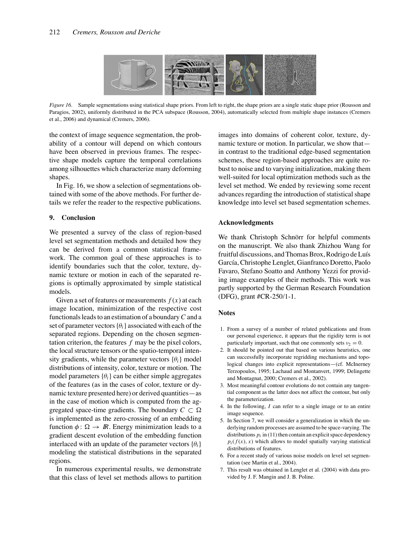

*Figure 16*. Sample segmentations using statistical shape priors. From left to right, the shape priors are a single static shape prior (Rousson and Paragios, 2002), uniformly distributed in the PCA subspace (Rousson, 2004), automatically selected from multiple shape instances (Cremers et al., 2006) and dynamical (Cremers, 2006).

the context of image sequence segmentation, the probability of a contour will depend on which contours have been observed in previous frames. The respective shape models capture the temporal correlations among silhouettes which characterize many deforming shapes.

In Fig. 16, we show a selection of segmentations obtained with some of the above methods. For further details we refer the reader to the respective publications.

## **9. Conclusion**

We presented a survey of the class of region-based level set segmentation methods and detailed how they can be derived from a common statistical framework. The common goal of these approaches is to identify boundaries such that the color, texture, dynamic texture or motion in each of the separated regions is optimally approximated by simple statistical models.

Given a set of features or measurements  $f(x)$  at each image location, minimization of the respective cost functionals leads to an estimation of a boundary*C* and a set of parameter vectors  $\{\theta_i\}$  associated with each of the separated regions. Depending on the chosen segmentation criterion, the features *f* may be the pixel colors, the local structure tensors or the spatio-temporal intensity gradients, while the parameter vectors  $\{\theta_i\}$  model distributions of intensity, color, texture or motion. The model parameters  $\{\theta_i\}$  can be either simple aggregates of the features (as in the cases of color, texture or dynamic texture presented here) or derived quantities—as in the case of motion which is computed from the aggregated space-time gradients. The boundary  $C \subset \Omega$ is implemented as the zero-crossing of an embedding function  $\phi : \Omega \to \mathbb{R}$ . Energy minimization leads to a gradient descent evolution of the embedding function interlaced with an update of the parameter vectors  $\{\theta_i\}$ modeling the statistical distributions in the separated regions.

In numerous experimental results, we demonstrate that this class of level set methods allows to partition images into domains of coherent color, texture, dynamic texture or motion. In particular, we show that in contrast to the traditional edge-based segmentation schemes, these region-based approaches are quite robust to noise and to varying initialization, making them well-suited for local optimization methods such as the level set method. We ended by reviewing some recent advances regarding the introduction of statistical shape knowledge into level set based segmentation schemes.

## **Acknowledgments**

We thank Christoph Schnörr for helpful comments on the manuscript. We also thank Zhizhou Wang for fruitful discussions, and Thomas Brox, Rodrigo de Luís García, Christophe Lenglet, Gianfranco Doretto, Paolo Favaro, Stefano Soatto and Anthony Yezzi for providing image examples of their methods. This work was partly supported by the German Research Foundation (DFG), grant #CR-250/1-1.

## **Notes**

- 1. From a survey of a number of related publications and from our personal experience, it appears that the rigidity term is not particularly important, such that one commonly sets  $v_2 = 0$ .
- 2. It should be pointed out that based on various heuristics, one can successfully incorporate regridding mechanisms and topological changes into explicit representations—(cf. McInerney Terzopoulos, 1995; Lachaud and Montanvert, 1999; Delingette and Montagnat, 2000; Cremers et al., 2002).
- 3. Most meaningful contour evolutions do not contain any tangential component as the latter does not affect the contour, but only the parameterization.
- 4. In the following, *I* can refer to a single image or to an entire image sequence.
- 5. In Section 7, we will consider a generalization in which the underlying random processes are assumed to be space-varying. The distributions  $p_i$  in (11) then contain an explicit space dependency  $p_i(f(x), x)$  which allows to model spatially varying statistical distributions of features.
- 6. For a recent study of various noise models on level set segmentation (see Martin et al., 2004).
- 7. This result was obtained in Lenglet et al. (2004) with data provided by J. F. Mangin and J. B. Poline.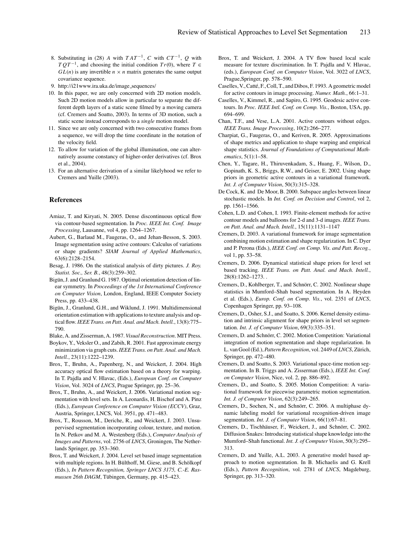- 8. Substituting in (28) *A* with  $TAT^{-1}$ , *C* with  $CT^{-1}$ , *O* with *T*  $QT^{-1}$ , and choosing the initial condition *Tr*(0), where *T* ∈  $GL(n)$  is any invertible  $n \times n$  matrix generates the same output covariance sequence.
- 9. http://i21www.ira.uka.de/image sequences/
- 10. In this paper, we are only concerned with 2D motion models. Such 2D motion models allow in particular to separate the different depth layers of a static scene filmed by a moving camera (cf. Cremers and Soatto, 2003). In terms of 3D motion, such a static scene instead corresponds to a *single* motion model.
- 11. Since we are only concerned with two consecutive frames from a sequence, we will drop the time coordinate in the notation of the velocity field.
- 12. To allow for variation of the global illumination, one can alternatively assume constancy of higher-order derivatives (cf. Brox et al., 2004).
- 13. For an alternative derivation of a similar likelyhood we refer to Cremers and Yuille (2003).

## **References**

- Amiaz, T. and Kiryati, N. 2005. Dense discontinuous optical flow via contour-based segmentation. In *Proc. IEEE Int. Conf. Image Processing*, Lausanne, vol 4, pp. 1264–1267.
- Aubert, G., Barlaud M., Faugeras, O., and Jehan-Besson, S. 2003. Image segmentation using active contours: Calculus of variations or shape gradients? *SIAM Journal of Applied Mathematics*, 63(6):2128–2154.
- Besag, J. 1986. On the statistical analysis of dirty pictures. *J. Roy. Statist. Soc., Ser. B.*, 48(3):259–302.
- Bigün, J. and Granlund G. 1987. Optimal orientation detection of linear symmetry. In *Proceedings of the 1st International Conference on Computer Vision*, London, England, IEEE Computer Society Press, pp. 433–438.
- Bigün, J., Granlund, G.H., and Wiklund, J. 1991. Multidimensional orientation estimation with applications to texture analysis and optical flow.*IEEE Trans. on Patt. Anal. and Mach. Intell.*, 13(8):775– 790.
- Blake, A. and Zisserman, A. 1987. *Visual Reconstruction*. MIT Press.
- Boykov, Y., Veksler O., and Zabih, R. 2001. Fast approximate energy minimization via graph cuts.*IEEE Trans. on Patt. Anal. and Mach. Intell.*, 23(11):1222–1239.
- Brox, T., Bruhn, A., Papenberg, N., and Weickert, J. 2004. High accuracy optical flow estimation based on a theory for warping. In T. Pajdla and V. Hlavac, (Eds.), *European Conf. on Computer Vision*, Vol. 3024 of *LNCS*, Prague Springer, pp. 25–36.
- Brox, T., Bruhn, A., and Weickert, J. 2006. Variational motion segmentation with level sets. In A. Leonardis, H. Bischof and A. Pinz (Eds.), *European Conference on Computer Vision (ECCV)*, Graz, Austria, Springer, LNCS, Vol. 3951, pp. 471–483.
- Brox, T., Rousson, M., Deriche, R., and Weickert, J. 2003. Unsupervised segmentation incorporating colour, texture, and motion. In N. Petkov and M. A. Westenberg (Eds.), *Computer Analysis of Images and Patterns*, vol. 2756 of *LNCS*, Groningen, The Netherlands Springer, pp. 353–360.
- Brox, T. and Weickert, J. 2004. Level set based image segmentation with multiple regions. In H. Bülthoff, M. Giese, and B. Schölkopf (Eds.), *In Pattern Recognition, Springer LNCS 3175, C.-E. Ras*mussen 26th DAGM, Tübingen, Germany, pp. 415-423.
- Brox, T. and Weickert, J. 2004. A TV flow based local scale measure for texture discrimination. In T. Pajdla and V. Hlavac, (eds.), *European Conf. on Computer Vision*, Vol. 3022 of *LNCS*, Prague,Springer, pp. 578–590.
- Caselles, V., Catté, F., Coll, T., and Dibos, F. 1993. A geometric model for active contours in image processing. *Numer. Math.*, 66:1–31.
- Caselles, V., Kimmel, R., and Sapiro, G. 1995. Geodesic active contours. In *Proc. IEEE Intl. Conf. on Comp. Vis.*, Boston, USA, pp. 694–699.
- Chan, T.F., and Vese, L.A. 2001. Active contours without edges. *IEEE Trans. Image Processing*, 10(2):266–277.
- Charpiat, G., Faugeras, O., and Keriven, R. 2005. Approximations of shape metrics and application to shape warping and empirical shape statistics. *Journal of Foundations of Computational Mathematics*, 5(1):1–58.
- Chen, Y., Tagare, H., Thiruvenkadam, S., Huang, F., Wilson, D., Gopinath, K. S., Briggs, R.W., and Geiser, E. 2002. Using shape priors in geometric active contours in a variational framework. *Int. J. of Computer Vision*, 50(3):315–328.
- De Cock, K. and De Moor, B. 2000. Subspace angles between linear stochastic models. In *Int. Conf. on Decision and Control*, vol 2, pp. 1561–1566.
- Cohen, L.D. and Cohen, I. 1993. Finite-element methods for active contour models and balloons for 2-d and 3-d images. *IEEE Trans. on Patt. Anal. and Mach. Intell.*, 15(11):1131–1147
- Cremers, D. 2003. A variational framework for image segmentation combining motion estimation and shape regularization. In C. Dyer and P. Perona (Eds.), *IEEE Conf. on Comp. Vis. and Patt. Recog.*, vol 1, pp. 53–58.
- Cremers, D. 2006. Dynamical statistical shape priors for level set based tracking. *IEEE Trans. on Patt. Anal. and Mach. Intell.*, 28(8):1262–1273. .
- Cremers, D., Kohlberger, T., and Schnörr, C. 2002. Nonlinear shape statistics in Mumford–Shah based segmentation. In A. Heyden et al. (Eds.), *Europ. Conf. on Comp. Vis.*, vol. 2351 of *LNCS*, Copenhagen Springer, pp. 93–108.
- Cremers, D., Osher, S.J., and Soatto, S. 2006. Kernel density estimation and intrinsic alignment for shape priors in level set segmentation. *Int. J. of Computer Vision*, 69(3):335–351.
- Cremers, D. and Schnörr, C. 2002. Motion Competition: Variational integration of motion segmentation and shape regularization. In L. van Gool (Ed.), *Pattern Recognition*, vol. 2449 of *LNCS*, Zürich, Springer, pp. 472–480.
- Cremers, D. and Soatto, S. 2003. Variational space-time motion segmentation. In B. Triggs and A. Zisserman (Eds.), *IEEE Int. Conf. on Computer Vision*, Nice, vol. 2, pp. 886–892.
- Cremers, D., and Soatto, S. 2005. Motion Competition: A variational framework for piecewise parametric motion segmentation. *Int. J. of Computer Vision*, 62(3):249–265.
- Cremers, D., Sochen, N., and Schnörr, C. 2006. A multiphase dynamic labeling model for variational recognition-driven image segmentation. *Int. J. of Computer Vision*, 66(1):67–81.
- Cremers, D., Tischhäuser, F., Weickert, J., and Schnörr, C. 2002. Diffusion Snakes: Introducing statistical shape knowledge into the Mumford–Shah functional. *Int. J. of Computer Vision*, 50(3):295– 313.
- Cremers, D. and Yuille, A.L. 2003. A generative model based approach to motion segmentation. In B. Michaelis and G. Krell (Eds.), *Pattern Recognition*, vol. 2781 of *LNCS*, Magdeburg, Springer, pp. 313–320.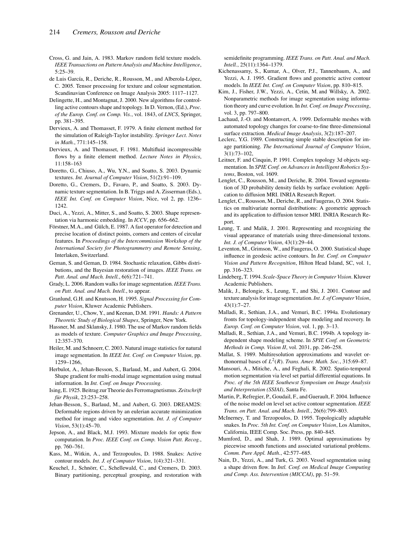- Cross, G. and Jain, A. 1983. Markov random field texture models. *IEEE Transactions on Pattern Analysis and Machine Intelligence*, 5:25–39.
- de Luis García, R., Deriche, R., Rousson, M., and Alberola-López, C. 2005. Tensor processing for texture and colour segmentation. Scandinavian Conference on Image Analysis 2005: 1117–1127.
- Delingette, H., and Montagnat, J. 2000. New algorithms for controlling active contours shape and topology. In D. Vernon, (Ed.), *Proc. of the Europ. Conf. on Comp. Vis.*, vol. 1843, of *LNCS*, Springer, pp. 381–395.
- Dervieux, A. and Thomasset, F. 1979. A finite element method for the simulation of Raleigh-Taylor instability. *Springer Lect. Notes in Math.*, 771:145–158.
- Dervieux, A. and Thomasset, F. 1981. Multifluid incompressible flows by a finite element method. *Lecture Notes in Physics*, 11:158–163
- Doretto, G., Chiuso, A., Wu, Y.N., and Soatto, S. 2003. Dynamic textures. *Int. Journal of Computer Vision*, 51(2):91–109.
- Doretto, G., Cremers, D., Favaro, P., and Soatto, S. 2003. Dynamic texture segmentation. In B. Triggs and A. Zisserman (Eds.), *IEEE Int. Conf. on Computer Vision*, Nice, vol 2, pp. 1236– 1242.
- Duci, A., Yezzi, A., Mitter, S., and Soatto, S. 2003. Shape representation via harmonic embedding. In *ICCV*, pp. 656–662.
- Förstner, M.A., and Gülch, E. 1987. A fast operator for detection and precise location of distinct points, corners and centers of circular features. In *Proceedings of the Intercommission Workshop of the International Society for Photogrammetry and Remote Sensing*, Interlaken, Switzerland.
- Geman, S. and Geman, D. 1984. Stochastic relaxation, Gibbs distributions, and the Bayesian restoration of images. *IEEE Trans. on Patt. Anal. and Mach. Intell.*, 6(6):721–741.
- Grady, L. 2006. Random walks for image segmentation. *IEEE Trans. on Patt. Anal. and Mach. Intell.*, to appear.
- Granlund, G.H. and Knutsson, H. 1995. *Signal Processing for Computer Vision*, Kluwer Academic Publishers.
- Grenander, U., Chow, Y., and Keenan, D.M. 1991. *Hands: A Pattern Theoretic Study of Biological Shapes*, Springer, New York.
- Hassner, M. and Sklansky, J. 1980. The use of Markov random fields as models of texture. *Computer Graphics and Image Processing*, 12:357–370.
- Heiler, M. and Schnoerr, C. 2003. Natural image statistics for natural image segmentation. In *IEEE Int. Conf. on Computer Vision*, pp. 1259–1266,
- Herbulot, A., Jehan-Besson, S., Barlaud, M., and Aubert, G. 2004. Shape gradient for multi-modal image segmentation using mutual information. In *Int. Conf. on Image Processing*.
- Ising, E. 1925. Beitrag zur Theorie des Ferromagnetismus. *Zeitschrift für Physik*, 23:253–258.
- Jehan-Besson, S., Barlaud, M., and Aubert, G. 2003. DREAM2S: Deformable regions driven by an eulerian accurate minimization method for image and video segmentation. *Int. J. of Computer Vision*, 53(1):45–70.
- Jepson, A., and Black, M.J. 1993. Mixture models for optic flow computation. In *Proc. IEEE Conf. on Comp. Vision Patt. Recog.*, pp. 760–761.
- Kass, M., Witkin, A., and Terzopoulos, D. 1988. Snakes: Active contour models. *Int. J. of Computer Vision*, 1(4):321–331.
- Keuchel, J., Schnörr, C., Schellewald, C., and Cremers, D. 2003. Binary partitioning, perceptual grouping, and restoration with

semidefinite programming. *IEEE Trans. on Patt. Anal. and Mach. Intell.*, 25(11):1364–1379.

- Kichenassamy, S., Kumar, A., Olver, P.J., Tannenbaum, A., and Yezzi, A. J. 1995. Gradient flows and geometric active contour models. In *IEEE Int. Conf. on Computer Vision*, pp. 810–815.
- Kim, J., Fisher, J.W., Yezzi, A., Cetin, M. and Willsky, A. 2002. Nonparametric methods for image segmentation using information theory and curve evolution. In *Int. Conf. on Image Processing*, vol. 3, pp. 797–800.
- Lachaud, J.-O. and Montanvert, A. 1999. Deformable meshes with automated topology changes for coarse-to-fine three-dimensional surface extraction. *Medical Image Analysis*, 3(2):187–207.
- Leclerc, Y.G. 1989. Constructing simple stable description for image partitioning. *The International Journal of Computer Vision*, 3(1):73–102,
- Leitner, F. and Cinquin, P. 1991. Complex topology 3d objects segmentation. In *SPIE Conf. on Advances in Intelligent Robotics Systems*, Boston, vol. 1609.
- Lenglet, C., Rousson, M., and Deriche, R. 2004. Toward segmentation of 3D probability density fields by surface evolution: Application to diffusion MRI. INRIA Research Report.
- Lenglet, C., Rousson, M., Deriche, R., and Faugeras, O. 2004. Statistics on multivariate normal distributions: A geometric approach and its application to diffusion tensor MRI. INRIA Research Report.
- Leung, T. and Malik, J. 2001. Representing and recognizing the visual appearance of materials using three-dimensional textons. *Int. J. of Computer Vision*, 43(1):29–44.
- Leventon, M., Grimson, W., and Faugeras, O. 2000. Statistical shape influence in geodesic active contours. In *Int. Conf. on Computer Vision and Pattern Recognition*, Hilton Head Island, SC, vol. 1, pp. 316–323.
- Lindeberg, T. 1994. *Scale-Space Theory in Computer Vision*. Kluwer Academic Publishers.
- Malik, J., Belongie, S., Leung, T., and Shi, J. 2001. Contour and texture analysis for image segmentation.*Int. J. of Computer Vision*, 43(1):7–27.
- Malladi, R., Sethian, J.A., and Vemuri, B.C. 1994a. Evolutionary fronts for topology-independent shape modeling and recovery. In *Europ. Conf. on Computer Vision*, vol. 1, pp. 3–13.
- Malladi, R., Sethian, J.A., and Vemuri, B.C. 1994b. A topology independent shape modeling scheme. In *SPIE Conf. on Geometric Methods in Comp. Vision II*, vol. 2031, pp. 246–258.
- Mallat, S. 1989. Multiresolution approximations and wavelet orthonormal bases of  $L^2(R)$ . *Trans. Amer. Math. Soc.*, 315:69–87.
- Mansouri, A., Mitiche, A., and Feghali, R. 2002. Spatio-temporal motion segmentation via level set partial differential equations. In *Proc. of the 5th IEEE Southewst Symposium on Image Analysis and Interpretation (SSIAI)*, Santa Fe.
- Martin, P., Refregier, P., Goudail, F., and Guerault, F. 2004. Influence of the noise model on level set active contour segmentation. *IEEE Trans. on Patt. Anal. and Mach. Intell.*, 26(6):799–803.
- McInerney, T. and Terzopoulos, D. 1995. Topologically adaptable snakes. In *Proc. 5th Int. Conf. on Computer Vision*, Los Alamitos, California, IEEE Comp. Soc. Press, pp. 840–845.
- Mumford, D., and Shah, J. 1989. Optimal approximations by piecewise smooth functions and associated variational problems. *Comm. Pure Appl. Math.*, 42:577–685.
- Nain, D., Yezzi, A., and Turk, G. 2003. Vessel segmentation using a shape driven flow. In *Intl. Conf. on Medical Image Computing and Comp. Ass. Intervention (MICCAI)*, pp. 51–59.